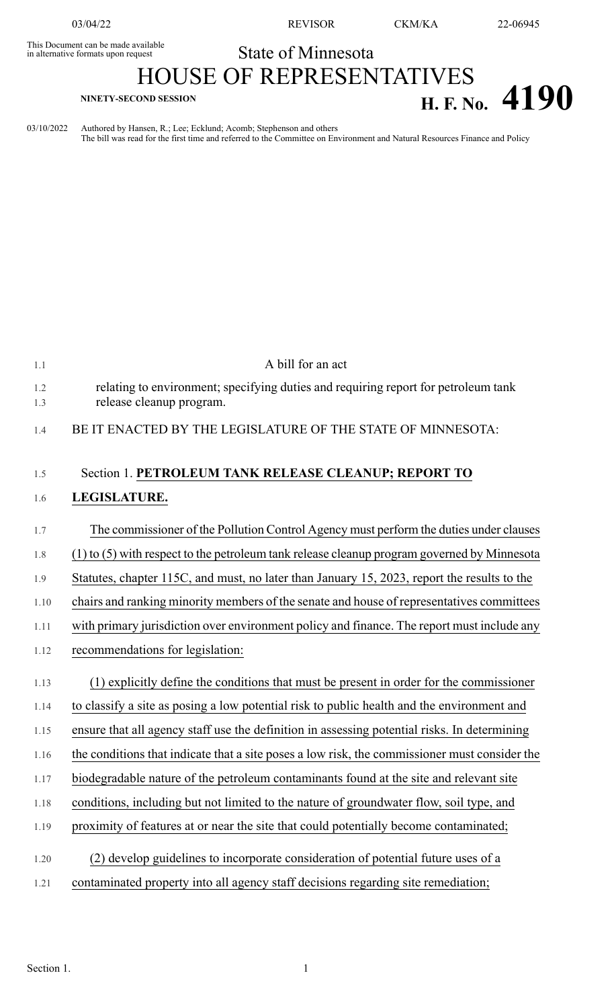This Document can be made available<br>in alternative formats upon request

03/04/22 REVISOR CKM/KA 22-06945

## State of Minnesota

## HOUSE OF REPRESENTATIVES **H. F. No.** 4190

03/10/2022 Authored by Hansen, R.; Lee; Ecklund; Acomb; Stephenson and others The bill was read for the first time and referred to the Committee on Environment and Natural Resources Finance and Policy

| 1.1        | A bill for an act                                                                                              |
|------------|----------------------------------------------------------------------------------------------------------------|
| 1.2<br>1.3 | relating to environment; specifying duties and requiring report for petroleum tank<br>release cleanup program. |
| 1.4        | BE IT ENACTED BY THE LEGISLATURE OF THE STATE OF MINNESOTA:                                                    |
| 1.5        | Section 1. PETROLEUM TANK RELEASE CLEANUP; REPORT TO                                                           |
| 1.6        | LEGISLATURE.                                                                                                   |
| 1.7        | The commissioner of the Pollution Control Agency must perform the duties under clauses                         |
| 1.8        | $(1)$ to $(5)$ with respect to the petroleum tank release cleanup program governed by Minnesota                |
| 1.9        | Statutes, chapter 115C, and must, no later than January 15, 2023, report the results to the                    |
| 1.10       | chairs and ranking minority members of the senate and house of representatives committees                      |
| 1.11       | with primary jurisdiction over environment policy and finance. The report must include any                     |
| 1.12       | recommendations for legislation:                                                                               |
| 1.13       | (1) explicitly define the conditions that must be present in order for the commissioner                        |
| 1.14       | to classify a site as posing a low potential risk to public health and the environment and                     |
| 1.15       | ensure that all agency staff use the definition in assessing potential risks. In determining                   |
| 1.16       | the conditions that indicate that a site poses a low risk, the commissioner must consider the                  |
| 1.17       | biodegradable nature of the petroleum contaminants found at the site and relevant site                         |
| 1.18       | conditions, including but not limited to the nature of groundwater flow, soil type, and                        |
| 1.19       | proximity of features at or near the site that could potentially become contaminated;                          |
| 1.20       | (2) develop guidelines to incorporate consideration of potential future uses of a                              |
| 1.21       | contaminated property into all agency staff decisions regarding site remediation;                              |